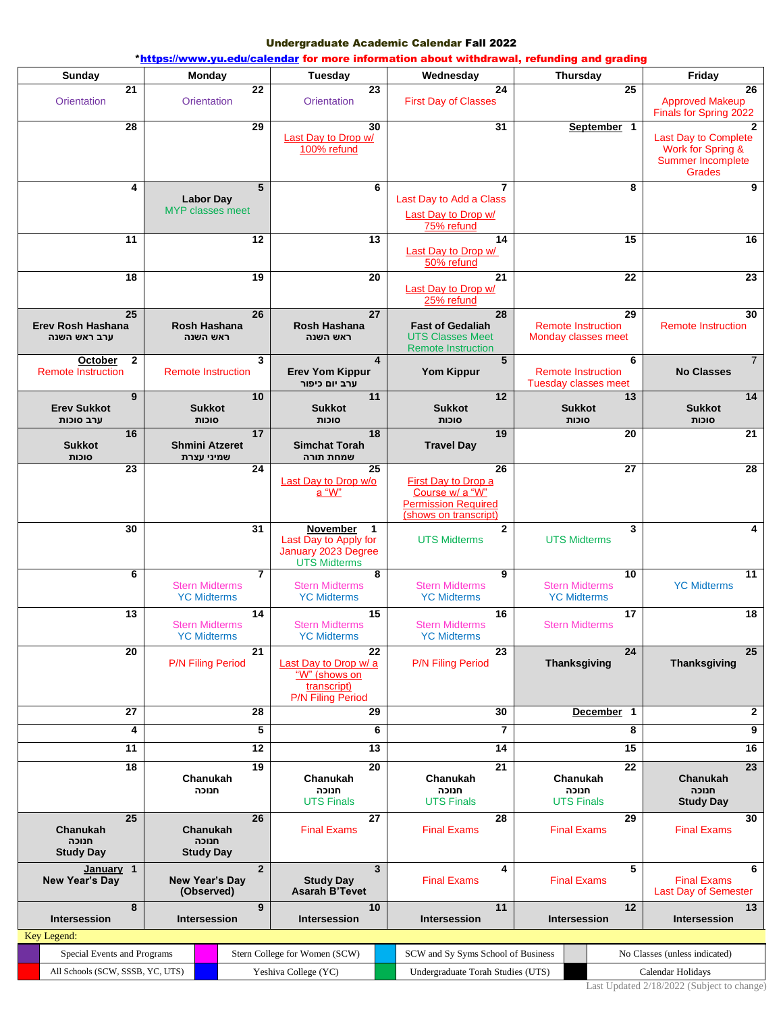## Undergraduate Academic Calendar Fall 2022

|                                                                 |                                                               |                                                                                                          | *https://www.yu.edu/calendar for more information about withdrawal, refunding and grading           |                                                                     |                                                                                                 |  |
|-----------------------------------------------------------------|---------------------------------------------------------------|----------------------------------------------------------------------------------------------------------|-----------------------------------------------------------------------------------------------------|---------------------------------------------------------------------|-------------------------------------------------------------------------------------------------|--|
| Sunday                                                          | <b>Monday</b>                                                 | Tuesday                                                                                                  | Wednesday                                                                                           | Thursday                                                            | Friday                                                                                          |  |
| $\overline{21}$<br><b>Orientation</b>                           | 22<br><b>Orientation</b>                                      | 23<br>Orientation                                                                                        | 24<br><b>First Day of Classes</b>                                                                   | 25                                                                  | 26<br><b>Approved Makeup</b><br>Finals for Spring 2022                                          |  |
| 28                                                              | 29                                                            | 30<br>Last Day to Drop w/<br>100% refund                                                                 | 31                                                                                                  | September 1                                                         | $\mathbf{2}$<br>Last Day to Complete<br>Work for Spring &<br><b>Summer Incomplete</b><br>Grades |  |
| 4                                                               | 5<br><b>Labor Day</b><br><b>MYP</b> classes meet              | 6                                                                                                        | 7<br>Last Day to Add a Class<br>Last Day to Drop w/<br>75% refund                                   | 8                                                                   | 9                                                                                               |  |
| 11                                                              | 12                                                            | 13                                                                                                       | 14<br>Last Day to Drop w/<br>50% refund                                                             | 15                                                                  | 16                                                                                              |  |
| 18                                                              | 19                                                            | 20                                                                                                       | 21<br>Last Day to Drop w/<br>25% refund                                                             | 22                                                                  | 23                                                                                              |  |
| $\overline{25}$<br>Erev Rosh Hashana<br>ערב ראש השנה            | 26<br>Rosh Hashana<br>ראש השנה                                | 27<br>Rosh Hashana<br>ראש השנה                                                                           | 28<br><b>Fast of Gedaliah</b><br><b>UTS Classes Meet</b><br><b>Remote Instruction</b>               | 29<br><b>Remote Instruction</b><br>Monday classes meet              | 30<br><b>Remote Instruction</b>                                                                 |  |
| $\mathbf{2}$<br>October<br><b>Remote Instruction</b>            | 3<br><b>Remote Instruction</b>                                | 4<br><b>Erev Yom Kippur</b><br>ערב יום כיפור                                                             | 5<br><b>Yom Kippur</b>                                                                              | 6<br><b>Remote Instruction</b><br>Tuesday classes meet              | $\overline{7}$<br><b>No Classes</b>                                                             |  |
| 9<br><b>Erev Sukkot</b><br>ערב סוכות                            | 10<br><b>Sukkot</b><br>סוכות                                  | 11<br><b>Sukkot</b><br>סוכות                                                                             | 12<br><b>Sukkot</b><br>סוכות                                                                        | 13<br><b>Sukkot</b><br>סוכות                                        | 14<br><b>Sukkot</b><br>סוכות                                                                    |  |
| 16<br><b>Sukkot</b><br>סוכות                                    | 17<br><b>Shmini Atzeret</b><br>שמיני עצרת                     | 18<br><b>Simchat Torah</b><br>שמחת תורה                                                                  | 19<br><b>Travel Day</b>                                                                             | 20                                                                  | 21                                                                                              |  |
| 23                                                              | 24                                                            | 25<br>Last Day to Drop w/o<br>a "W"                                                                      | 26<br>First Day to Drop a<br>Course w/ a "W"<br><b>Permission Required</b><br>(shows on transcript) | 27                                                                  | 28                                                                                              |  |
| 30                                                              | 31                                                            | <b>November</b><br>$\overline{1}$<br>Last Day to Apply for<br>January 2023 Degree<br><b>UTS Midterms</b> | $\mathbf{2}$<br><b>UTS Midterms</b>                                                                 | 3<br><b>UTS Midterms</b>                                            | 4                                                                                               |  |
| 6                                                               | $\overline{7}$<br><b>Stern Midterms</b><br><b>YC Midterms</b> | 8<br><b>Stern Midterms</b><br><b>YC Midterms</b>                                                         | 9<br><b>Stern Midterms</b><br><b>YC Midterms</b>                                                    | 10<br><b>Stern Midterms</b><br><b>YC Midterms</b>                   | 11<br><b>YC Midterms</b>                                                                        |  |
| 13                                                              | 14<br><b>Stern Midterms</b><br><b>YC Midterms</b>             | 15<br><b>Stern Midterms</b><br><b>YC Midterms</b>                                                        | 16<br><b>Stern Midterms</b><br><b>YC Midterms</b>                                                   | 17<br><b>Stern Midterms</b>                                         | 18                                                                                              |  |
| $\overline{20}$                                                 | 21<br><b>P/N Filing Period</b>                                | $\overline{22}$<br>Last Day to Drop w/ a<br>"W" (shows on<br>transcript)<br><b>P/N Filing Period</b>     | 23<br><b>P/N Filing Period</b>                                                                      | $\overline{24}$<br>Thanksgiving                                     | 25<br>Thanksgiving                                                                              |  |
| 27                                                              | 28                                                            | 29                                                                                                       | 30                                                                                                  | December 1                                                          | $\mathbf{2}$                                                                                    |  |
| 4                                                               | 5                                                             | 6                                                                                                        | 7                                                                                                   | 8                                                                   | 9                                                                                               |  |
| $\overline{11}$                                                 | 12                                                            | 13                                                                                                       | 14                                                                                                  | 15                                                                  | 16                                                                                              |  |
| 18                                                              | 19<br>Chanukah<br>חנוכה                                       | 20<br>Chanukah<br>חנוכה<br><b>UTS Finals</b>                                                             | 21<br>Chanukah<br>חנוכה<br><b>UTS Finals</b>                                                        | 22<br>Chanukah<br>חנוכה<br><b>UTS Finals</b>                        | 23<br>Chanukah<br>חנוכה<br><b>Study Day</b>                                                     |  |
| $\overline{25}$<br><b>Chanukah</b><br>חנוכה<br><b>Study Day</b> | 26<br>Chanukah<br>חנוכה<br><b>Study Day</b>                   | 27<br><b>Final Exams</b>                                                                                 | 28<br><b>Final Exams</b>                                                                            | 29<br><b>Final Exams</b>                                            | 30<br><b>Final Exams</b>                                                                        |  |
| January 1<br>New Year's Day                                     | $\overline{2}$<br>New Year's Day<br>(Observed)                | 3<br><b>Study Day</b><br><b>Asarah B'Tevet</b>                                                           | 4<br><b>Final Exams</b>                                                                             | 5<br><b>Final Exams</b>                                             | 6<br><b>Final Exams</b><br><b>Last Day of Semester</b>                                          |  |
| 8<br>Intersession<br>Key Legend:                                | 9<br>Intersession                                             | 10<br>Intersession                                                                                       | 11<br>Intersession                                                                                  | 12<br><b>Intersession</b>                                           | 13<br><b>Intersession</b>                                                                       |  |
| Special Events and Programs                                     |                                                               | Stern College for Women (SCW)                                                                            |                                                                                                     | SCW and Sy Syms School of Business<br>No Classes (unless indicated) |                                                                                                 |  |
| All Schools (SCW, SSSB, YC, UTS)                                |                                                               | Yeshiva College (YC)                                                                                     |                                                                                                     | Undergraduate Torah Studies (UTS)<br>Calendar Holidays              |                                                                                                 |  |

Last Updated 2/18/2022 (Subject to change)